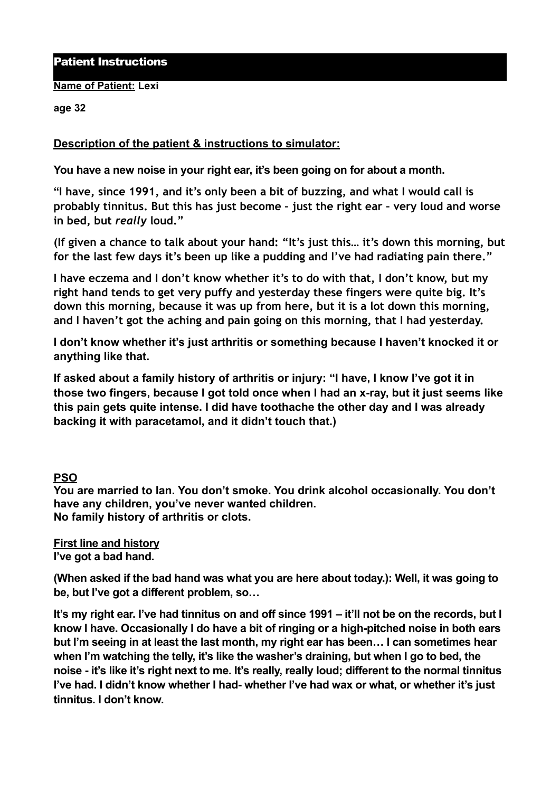### Patient Instructions

#### **Name of Patient: Lexi**

#### **age 32**

## **Description of the patient & instructions to simulator:**

**You have a new noise in your right ear, it's been going on for about a month.** 

**"I have, since 1991, and it's only been a bit of buzzing, and what I would call is probably tinnitus. But this has just become – just the right ear – very loud and worse in bed, but** *really* **loud."** 

**(If given a chance to talk about your hand: "It's just this… it's down this morning, but for the last few days it's been up like a pudding and I've had radiating pain there."** 

**I have eczema and I don't know whether it's to do with that, I don't know, but my right hand tends to get very puffy and yesterday these fingers were quite big. It's down this morning, because it was up from here, but it is a lot down this morning, and I haven't got the aching and pain going on this morning, that I had yesterday.** 

**I don't know whether it's just arthritis or something because I haven't knocked it or anything like that.** 

**If asked about a family history of arthritis or injury: "I have, I know I've got it in those two fingers, because I got told once when I had an x-ray, but it just seems like this pain gets quite intense. I did have toothache the other day and I was already backing it with paracetamol, and it didn't touch that.)**

### **PSO**

**You are married to Ian. You don't smoke. You drink alcohol occasionally. You don't have any children, you've never wanted children. No family history of arthritis or clots.** 

**First line and history I've got a bad hand.** 

**(When asked if the bad hand was what you are here about today.): Well, it was going to be, but I've got a different problem, so…** 

**It's my right ear. I've had tinnitus on and off since 1991 – it'll not be on the records, but I know I have. Occasionally I do have a bit of ringing or a high-pitched noise in both ears but I'm seeing in at least the last month, my right ear has been… I can sometimes hear when I'm watching the telly, it's like the washer's draining, but when I go to bed, the noise - it's like it's right next to me. It's really, really loud; different to the normal tinnitus I've had. I didn't know whether I had- whether I've had wax or what, or whether it's just tinnitus. I don't know.**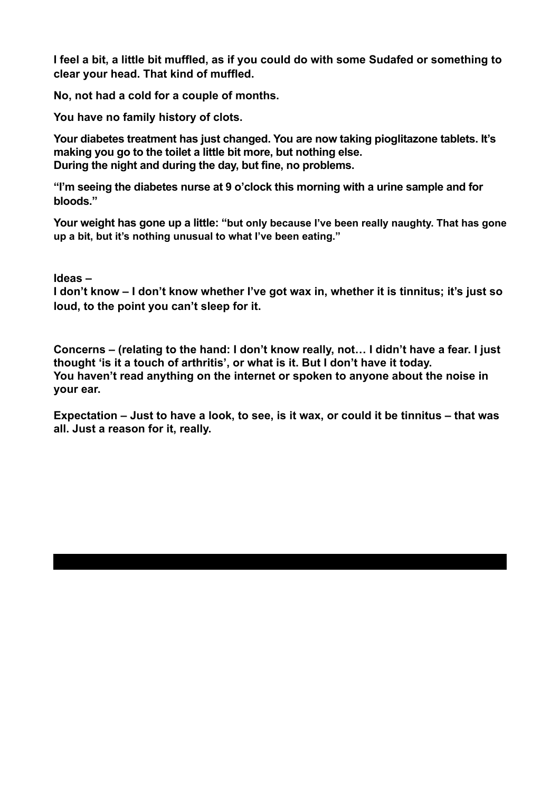**I feel a bit, a little bit muffled, as if you could do with some Sudafed or something to clear your head. That kind of muffled.** 

**No, not had a cold for a couple of months.** 

**You have no family history of clots.**

**Your diabetes treatment has just changed. You are now taking pioglitazone tablets. It's making you go to the toilet a little bit more, but nothing else. During the night and during the day, but fine, no problems.** 

**"I'm seeing the diabetes nurse at 9 o'clock this morning with a urine sample and for bloods."** 

**Your weight has gone up a little: "but only because I've been really naughty. That has gone up a bit, but it's nothing unusual to what I've been eating."** 

**Ideas –** 

**I don't know – I don't know whether I've got wax in, whether it is tinnitus; it's just so loud, to the point you can't sleep for it.** 

**Concerns – (relating to the hand: I don't know really, not… I didn't have a fear. I just thought 'is it a touch of arthritis', or what is it. But I don't have it today. You haven't read anything on the internet or spoken to anyone about the noise in your ear.** 

**Expectation – Just to have a look, to see, is it wax, or could it be tinnitus – that was all. Just a reason for it, really.**